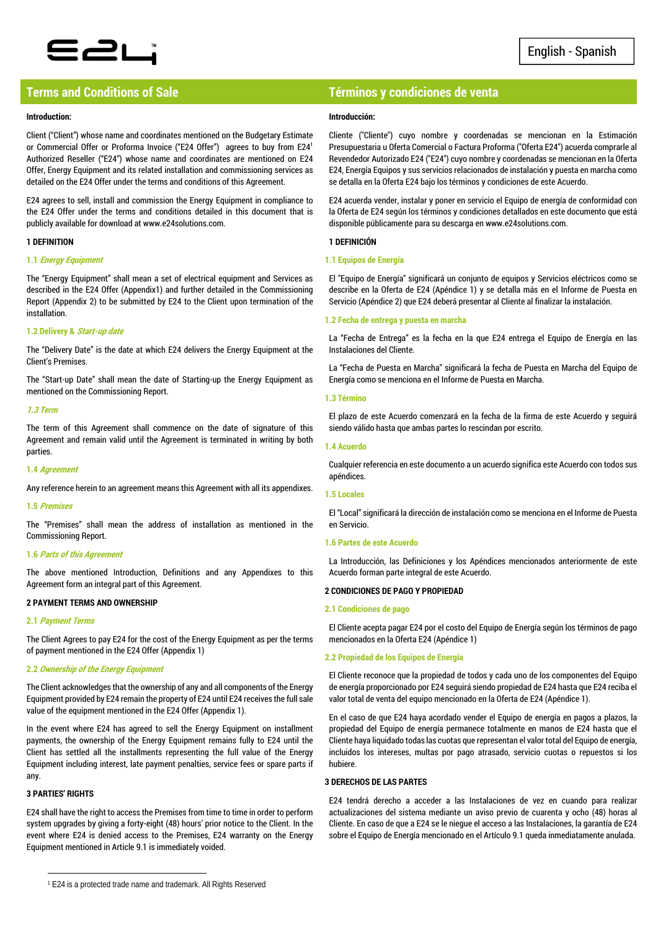# E2L

#### **Introduction:**

Client ("Client") whose name and coordinates mentioned on the Budgetary Estimate or Commercial Offer or Proforma Invoice ("E24 Offer") agrees to buy from E24<sup>1</sup> Authorized Reseller ("E24") whose name and coordinates are mentioned on E24 Offer, Energy Equipment and its related installation and commissioning services as detailed on the E24 Offer under the terms and conditions of this Agreement.

E24 agrees to sell, install and commission the Energy Equipment in compliance to the E24 Offer under the terms and conditions detailed in this document that is publicly available for download at www.e24solutions.com.

#### **1 DEFINITION**

#### **1.1 Energy Equipment**

The "Energy Equipment" shall mean a set of electrical equipment and Services as described in the E24 Offer (Appendix1) and further detailed in the Commissioning Report (Appendix 2) to be submitted by E24 to the Client upon termination of the **installation** 

#### **1.2 Delivery & Start-up date**

The "Delivery Date" is the date at which E24 delivers the Energy Equipment at the Client's Premises.

The "Start-up Date" shall mean the date of Starting-up the Energy Equipment as mentioned on the Commissioning Report.

#### **1.3 Term**

The term of this Agreement shall commence on the date of signature of this Agreement and remain valid until the Agreement is terminated in writing by both parties.

#### **1.4 Agreement**

Any reference herein to an agreement means this Agreement with all its appendixes.

#### **1.5 Premises**

The "Premises" shall mean the address of installation as mentioned in the Commissioning Report.

#### **1.6 Parts of this Agreement**

The above mentioned Introduction, Definitions and any Appendixes to this Agreement form an integral part of this Agreement.

#### **2 PAYMENT TERMS AND OWNERSHIP**

#### **2.1 Payment Terms**

The Client Agrees to pay E24 for the cost of the Energy Equipment as per the terms of payment mentioned in the E24 Offer (Appendix 1)

#### **2.2 Ownership of the Energy Equipment**

The Client acknowledges that the ownership of any and all components of the Energy Equipment provided by E24 remain the property of E24 until E24 receives the full sale value of the equipment mentioned in the E24 Offer (Appendix 1).

In the event where E24 has agreed to sell the Energy Equipment on installment payments, the ownership of the Energy Equipment remains fully to E24 until the Client has settled all the installments representing the full value of the Energy Equipment including interest, late payment penalties, service fees or spare parts if any.

#### **3 PARTIES' RIGHTS**

E24 shall have the right to access the Premises from time to time in order to perform system upgrades by giving a forty-eight (48) hours' prior notice to the Client. In the event where E24 is denied access to the Premises, E24 warranty on the Energy Equipment mentioned in Article 9.1 is immediately voided.

### **Terms and Conditions of Sale Terminos y condiciones de venta**

#### **Introducción:**

Cliente ("Cliente") cuyo nombre y coordenadas se mencionan en la Estimación Presupuestaria u Oferta Comercial o Factura Proforma ("Oferta E24") acuerda comprarle al Revendedor Autorizado E24 ("E24") cuyo nombre y coordenadas se mencionan en la Oferta E24, Energía Equipos y sus servicios relacionados de instalación y puesta en marcha como se detalla en la Oferta E24 bajo los términos y condiciones de este Acuerdo.

E24 acuerda vender, instalar y poner en servicio el Equipo de energía de conformidad con la Oferta de E24 según los términos y condiciones detallados en este documento que está disponible públicamente para su descarga en www.e24solutions.com.

#### **1 DEFINICIÓN**

#### **1.1 Equipos de Energía**

El "Equipo de Energía" significará un conjunto de equipos y Servicios eléctricos como se describe en la Oferta de E24 (Apéndice 1) y se detalla más en el Informe de Puesta en Servicio (Apéndice 2) que E24 deberá presentar al Cliente al finalizar la instalación.

#### **1.2 Fecha de entrega y puesta en marcha**

La "Fecha de Entrega" es la fecha en la que E24 entrega el Equipo de Energía en las Instalaciones del Cliente.

La "Fecha de Puesta en Marcha" significará la fecha de Puesta en Marcha del Equipo de Energía como se menciona en el Informe de Puesta en Marcha.

#### **1.3 Término**

El plazo de este Acuerdo comenzará en la fecha de la firma de este Acuerdo y seguirá siendo válido hasta que ambas partes lo rescindan por escrito.

### **1.4 Acuerdo**

Cualquier referencia en este documento a un acuerdo significa este Acuerdo con todos sus apéndices.

#### **1.5 Locales**

El "Local" significará la dirección de instalación como se menciona en el Informe de Puesta en Servicio.

#### **1.6 Partes de este Acuerdo**

La Introducción, las Definiciones y los Apéndices mencionados anteriormente de este Acuerdo forman parte integral de este Acuerdo.

#### **2 CONDICIONES DE PAGO Y PROPIEDAD**

#### **2.1 Condiciones de pago**

El Cliente acepta pagar E24 por el costo del Equipo de Energía según los términos de pago mencionados en la Oferta E24 (Apéndice 1)

### **2.2 Propiedad de los Equipos de Energía**

El Cliente reconoce que la propiedad de todos y cada uno de los componentes del Equipo de energía proporcionado por E24 seguirá siendo propiedad de E24 hasta que E24 reciba el valor total de venta del equipo mencionado en la Oferta de E24 (Apéndice 1).

En el caso de que E24 haya acordado vender el Equipo de energía en pagos a plazos, la propiedad del Equipo de energía permanece totalmente en manos de E24 hasta que el Cliente haya liquidado todas las cuotas que representan el valor total del Equipo de energía, incluidos los intereses, multas por pago atrasado, servicio cuotas o repuestos si los hubiere.

#### **3 DERECHOS DE LAS PARTES**

E24 tendrá derecho a acceder a las Instalaciones de vez en cuando para realizar actualizaciones del sistema mediante un aviso previo de cuarenta y ocho (48) horas al Cliente. En caso de que a E24 se le niegue el acceso a las Instalaciones, la garantía de E24 sobre el Equipo de Energía mencionado en el Artículo 9.1 queda inmediatamente anulada.

 $\overline{a}$ 1 E24 is a protected trade name and trademark. All Rights Reserved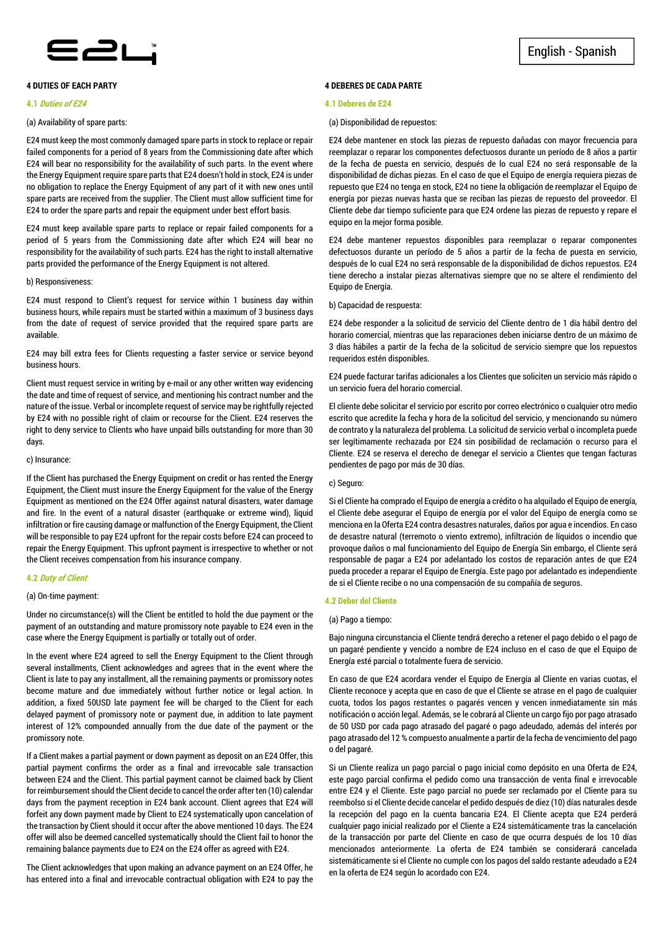## E2L

#### **4 DUTIES OF EACH PARTY**

#### **4.1 Duties of E24**

### (a) Availability of spare parts:

E24 must keep the most commonly damaged spare parts in stock to replace or repair failed components for a period of 8 years from the Commissioning date after which E24 will bear no responsibility for the availability of such parts. In the event where the Energy Equipment require spare parts that E24 doesn't hold in stock, E24 is under no obligation to replace the Energy Equipment of any part of it with new ones until spare parts are received from the supplier. The Client must allow sufficient time for E24 to order the spare parts and repair the equipment under best effort basis.

E24 must keep available spare parts to replace or repair failed components for a period of 5 years from the Commissioning date after which E24 will bear no responsibility for the availability of such parts. E24 has the right to install alternative parts provided the performance of the Energy Equipment is not altered.

#### b) Responsiveness:

E24 must respond to Client's request for service within 1 business day within business hours, while repairs must be started within a maximum of 3 business days from the date of request of service provided that the required spare parts are available.

E24 may bill extra fees for Clients requesting a faster service or service beyond business hours.

Client must request service in writing by e-mail or any other written way evidencing the date and time of request of service, and mentioning his contract number and the nature of the issue. Verbal or incomplete request of service may be rightfully rejected by E24 with no possible right of claim or recourse for the Client. E24 reserves the right to deny service to Clients who have unpaid bills outstanding for more than 30 days.

#### c) Insurance:

If the Client has purchased the Energy Equipment on credit or has rented the Energy Equipment, the Client must insure the Energy Equipment for the value of the Energy Equipment as mentioned on the E24 Offer against natural disasters, water damage and fire. In the event of a natural disaster (earthquake or extreme wind), liquid infiltration or fire causing damage or malfunction of the Energy Equipment, the Client will be responsible to pay E24 upfront for the repair costs before E24 can proceed to repair the Energy Equipment. This upfront payment is irrespective to whether or not the Client receives compensation from his insurance company.

#### **4.2 Duty of Client**

#### (a) On-time payment:

Under no circumstance(s) will the Client be entitled to hold the due payment or the payment of an outstanding and mature promissory note payable to E24 even in the case where the Energy Equipment is partially or totally out of order.

In the event where E24 agreed to sell the Energy Equipment to the Client through several installments, Client acknowledges and agrees that in the event where the Client is late to pay any installment, all the remaining payments or promissory notes become mature and due immediately without further notice or legal action. In addition, a fixed 50USD late payment fee will be charged to the Client for each delayed payment of promissory note or payment due, in addition to late payment interest of 12% compounded annually from the due date of the payment or the promissory note.

If a Client makes a partial payment or down payment as deposit on an E24 Offer, this partial payment confirms the order as a final and irrevocable sale transaction between E24 and the Client. This partial payment cannot be claimed back by Client for reimbursement should the Client decide to cancel the order after ten (10) calendar days from the payment reception in E24 bank account. Client agrees that E24 will forfeit any down payment made by Client to E24 systematically upon cancelation of the transaction by Client should it occur after the above mentioned 10 days. The E24 offer will also be deemed cancelled systematically should the Client fail to honor the remaining balance payments due to E24 on the E24 offer as agreed with E24.

The Client acknowledges that upon making an advance payment on an E24 Offer, he has entered into a final and irrevocable contractual obligation with E24 to pay the

#### **4 DEBERES DE CADA PARTE**

#### **4.1 Deberes de E24**

#### (a) Disponibilidad de repuestos:

E24 debe mantener en stock las piezas de repuesto dañadas con mayor frecuencia para reemplazar o reparar los componentes defectuosos durante un período de 8 años a partir de la fecha de puesta en servicio, después de lo cual E24 no será responsable de la disponibilidad de dichas piezas. En el caso de que el Equipo de energía requiera piezas de repuesto que E24 no tenga en stock, E24 no tiene la obligación de reemplazar el Equipo de energía por piezas nuevas hasta que se reciban las piezas de repuesto del proveedor. El Cliente debe dar tiempo suficiente para que E24 ordene las piezas de repuesto y repare el equipo en la mejor forma posible.

E24 debe mantener repuestos disponibles para reemplazar o reparar componentes defectuosos durante un período de 5 años a partir de la fecha de puesta en servicio, después de lo cual E24 no será responsable de la disponibilidad de dichos repuestos. E24 tiene derecho a instalar piezas alternativas siempre que no se altere el rendimiento del Equipo de Energía.

#### b) Capacidad de respuesta:

E24 debe responder a la solicitud de servicio del Cliente dentro de 1 día hábil dentro del horario comercial, mientras que las reparaciones deben iniciarse dentro de un máximo de 3 días hábiles a partir de la fecha de la solicitud de servicio siempre que los repuestos requeridos estén disponibles.

E24 puede facturar tarifas adicionales a los Clientes que soliciten un servicio más rápido o un servicio fuera del horario comercial.

El cliente debe solicitar el servicio por escrito por correo electrónico o cualquier otro medio escrito que acredite la fecha y hora de la solicitud del servicio, y mencionando su número de contrato y la naturaleza del problema. La solicitud de servicio verbal o incompleta puede ser legítimamente rechazada por E24 sin posibilidad de reclamación o recurso para el Cliente. E24 se reserva el derecho de denegar el servicio a Clientes que tengan facturas pendientes de pago por más de 30 días.

#### c) Seguro:

Si el Cliente ha comprado el Equipo de energía a crédito o ha alquilado el Equipo de energía, el Cliente debe asegurar el Equipo de energía por el valor del Equipo de energía como se menciona en la Oferta E24 contra desastres naturales, daños por agua e incendios. En caso de desastre natural (terremoto o viento extremo), infiltración de líquidos o incendio que provoque daños o mal funcionamiento del Equipo de Energía Sin embargo, el Cliente será responsable de pagar a E24 por adelantado los costos de reparación antes de que E24 pueda proceder a reparar el Equipo de Energía. Este pago por adelantado es independiente de si el Cliente recibe o no una compensación de su compañía de seguros.

#### **4.2 Deber del Cliente**

#### (a) Pago a tiempo:

Bajo ninguna circunstancia el Cliente tendrá derecho a retener el pago debido o el pago de un pagaré pendiente y vencido a nombre de E24 incluso en el caso de que el Equipo de Energía esté parcial o totalmente fuera de servicio.

En caso de que E24 acordara vender el Equipo de Energía al Cliente en varias cuotas, el Cliente reconoce y acepta que en caso de que el Cliente se atrase en el pago de cualquier cuota, todos los pagos restantes o pagarés vencen y vencen inmediatamente sin más notificación o acción legal. Además, se le cobrará al Cliente un cargo fijo por pago atrasado de 50 USD por cada pago atrasado del pagaré o pago adeudado, además del interés por pago atrasado del 12 % compuesto anualmente a partir de la fecha de vencimiento del pago o del pagaré.

Si un Cliente realiza un pago parcial o pago inicial como depósito en una Oferta de E24, este pago parcial confirma el pedido como una transacción de venta final e irrevocable entre E24 y el Cliente. Este pago parcial no puede ser reclamado por el Cliente para su reembolso si el Cliente decide cancelar el pedido después de diez (10) días naturales desde la recepción del pago en la cuenta bancaria E24. El Cliente acepta que E24 perderá cualquier pago inicial realizado por el Cliente a E24 sistemáticamente tras la cancelación de la transacción por parte del Cliente en caso de que ocurra después de los 10 días mencionados anteriormente. La oferta de E24 también se considerará cancelada sistemáticamente si el Cliente no cumple con los pagos del saldo restante adeudado a E24 en la oferta de E24 según lo acordado con E24.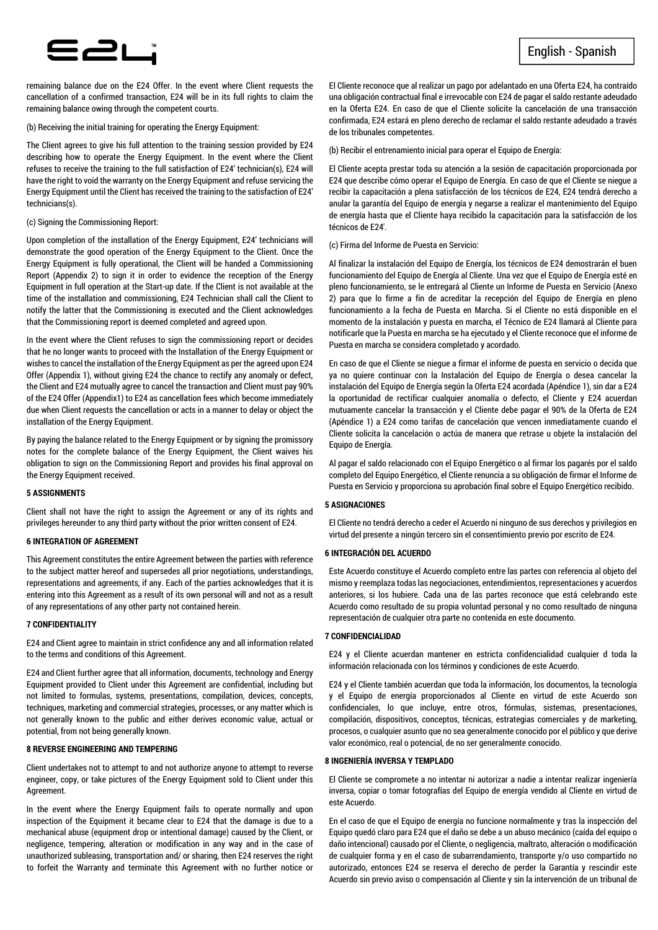

remaining balance due on the E24 Offer. In the event where Client requests the cancellation of a confirmed transaction, E24 will be in its full rights to claim the remaining balance owing through the competent courts.

(b) Receiving the initial training for operating the Energy Equipment:

The Client agrees to give his full attention to the training session provided by E24 describing how to operate the Energy Equipment. In the event where the Client refuses to receive the training to the full satisfaction of E24' technician(s), E24 will have the right to void the warranty on the Energy Equipment and refuse servicing the Energy Equipment until the Client has received the training to the satisfaction of E24' technicians(s).

#### (c) Signing the Commissioning Report:

Upon completion of the installation of the Energy Equipment, E24' technicians will demonstrate the good operation of the Energy Equipment to the Client. Once the Energy Equipment is fully operational, the Client will be handed a Commissioning Report (Appendix 2) to sign it in order to evidence the reception of the Energy Equipment in full operation at the Start-up date. If the Client is not available at the time of the installation and commissioning, E24 Technician shall call the Client to notify the latter that the Commissioning is executed and the Client acknowledges that the Commissioning report is deemed completed and agreed upon.

In the event where the Client refuses to sign the commissioning report or decides that he no longer wants to proceed with the Installation of the Energy Equipment or wishes to cancel the installation of the Energy Equipment as per the agreed upon E24 Offer (Appendix 1), without giving E24 the chance to rectify any anomaly or defect, the Client and E24 mutually agree to cancel the transaction and Client must pay 90% of the E24 Offer (Appendix1) to E24 as cancellation fees which become immediately due when Client requests the cancellation or acts in a manner to delay or object the installation of the Energy Equipment.

By paying the balance related to the Energy Equipment or by signing the promissory notes for the complete balance of the Energy Equipment, the Client waives his obligation to sign on the Commissioning Report and provides his final approval on the Energy Equipment received.

#### **5 ASSIGNMENTS**

Client shall not have the right to assign the Agreement or any of its rights and privileges hereunder to any third party without the prior written consent of E24.

#### **6 INTEGRATION OF AGREEMENT**

This Agreement constitutes the entire Agreement between the parties with reference to the subject matter hereof and supersedes all prior negotiations, understandings, representations and agreements, if any. Each of the parties acknowledges that it is entering into this Agreement as a result of its own personal will and not as a result of any representations of any other party not contained herein.

#### **7 CONFIDENTIALITY**

E24 and Client agree to maintain in strict confidence any and all information related to the terms and conditions of this Agreement.

E24 and Client further agree that all information, documents, technology and Energy Equipment provided to Client under this Agreement are confidential, including but not limited to formulas, systems, presentations, compilation, devices, concepts, techniques, marketing and commercial strategies, processes, or any matter which is not generally known to the public and either derives economic value, actual or potential, from not being generally known.

#### **8 REVERSE ENGINEERING AND TEMPERING**

Client undertakes not to attempt to and not authorize anyone to attempt to reverse engineer, copy, or take pictures of the Energy Equipment sold to Client under this Agreement.

In the event where the Energy Equipment fails to operate normally and upon inspection of the Equipment it became clear to E24 that the damage is due to a mechanical abuse (equipment drop or intentional damage) caused by the Client, or negligence, tempering, alteration or modification in any way and in the case of unauthorized subleasing, transportation and/ or sharing, then E24 reserves the right to forfeit the Warranty and terminate this Agreement with no further notice or

El Cliente reconoce que al realizar un pago por adelantado en una Oferta E24, ha contraído una obligación contractual final e irrevocable con E24 de pagar el saldo restante adeudado en la Oferta E24. En caso de que el Cliente solicite la cancelación de una transacción confirmada, E24 estará en pleno derecho de reclamar el saldo restante adeudado a través de los tribunales competentes.

(b) Recibir el entrenamiento inicial para operar el Equipo de Energía:

El Cliente acepta prestar toda su atención a la sesión de capacitación proporcionada por E24 que describe cómo operar el Equipo de Energía. En caso de que el Cliente se niegue a recibir la capacitación a plena satisfacción de los técnicos de E24, E24 tendrá derecho a anular la garantía del Equipo de energía y negarse a realizar el mantenimiento del Equipo de energía hasta que el Cliente haya recibido la capacitación para la satisfacción de los técnicos de E24'.

(c) Firma del Informe de Puesta en Servicio:

Al finalizar la instalación del Equipo de Energía, los técnicos de E24 demostrarán el buen funcionamiento del Equipo de Energía al Cliente. Una vez que el Equipo de Energía esté en pleno funcionamiento, se le entregará al Cliente un Informe de Puesta en Servicio (Anexo 2) para que lo firme a fin de acreditar la recepción del Equipo de Energía en pleno funcionamiento a la fecha de Puesta en Marcha. Si el Cliente no está disponible en el momento de la instalación y puesta en marcha, el Técnico de E24 llamará al Cliente para notificarle que la Puesta en marcha se ha ejecutado y el Cliente reconoce que el informe de Puesta en marcha se considera completado y acordado.

En caso de que el Cliente se niegue a firmar el informe de puesta en servicio o decida que ya no quiere continuar con la Instalación del Equipo de Energía o desea cancelar la instalación del Equipo de Energía según la Oferta E24 acordada (Apéndice 1), sin dar a E24 la oportunidad de rectificar cualquier anomalía o defecto, el Cliente y E24 acuerdan mutuamente cancelar la transacción y el Cliente debe pagar el 90% de la Oferta de E24 (Apéndice 1) a E24 como tarifas de cancelación que vencen inmediatamente cuando el Cliente solicita la cancelación o actúa de manera que retrase u objete la instalación del Equipo de Energía.

Al pagar el saldo relacionado con el Equipo Energético o al firmar los pagarés por el saldo completo del Equipo Energético, el Cliente renuncia a su obligación de firmar el Informe de Puesta en Servicio y proporciona su aprobación final sobre el Equipo Energético recibido.

#### **5 ASIGNACIONES**

El Cliente no tendrá derecho a ceder el Acuerdo ni ninguno de sus derechos y privilegios en virtud del presente a ningún tercero sin el consentimiento previo por escrito de E24.

#### **6 INTEGRACIÓN DEL ACUERDO**

Este Acuerdo constituye el Acuerdo completo entre las partes con referencia al objeto del mismo y reemplaza todas las negociaciones, entendimientos, representaciones y acuerdos anteriores, si los hubiere. Cada una de las partes reconoce que está celebrando este Acuerdo como resultado de su propia voluntad personal y no como resultado de ninguna representación de cualquier otra parte no contenida en este documento.

#### **7 CONFIDENCIALIDAD**

E24 y el Cliente acuerdan mantener en estricta confidencialidad cualquier d toda la información relacionada con los términos y condiciones de este Acuerdo.

E24 y el Cliente también acuerdan que toda la información, los documentos, la tecnología y el Equipo de energía proporcionados al Cliente en virtud de este Acuerdo son confidenciales, lo que incluye, entre otros, fórmulas, sistemas, presentaciones, compilación, dispositivos, conceptos, técnicas, estrategias comerciales y de marketing, procesos, o cualquier asunto que no sea generalmente conocido por el público y que derive valor económico, real o potencial, de no ser generalmente conocido.

#### **8 INGENIERÍA INVERSA Y TEMPLADO**

El Cliente se compromete a no intentar ni autorizar a nadie a intentar realizar ingeniería inversa, copiar o tomar fotografías del Equipo de energía vendido al Cliente en virtud de este Acuerdo.

En el caso de que el Equipo de energía no funcione normalmente y tras la inspección del Equipo quedó claro para E24 que el daño se debe a un abuso mecánico (caída del equipo o daño intencional) causado por el Cliente, o negligencia, maltrato, alteración o modificación de cualquier forma y en el caso de subarrendamiento, transporte y/o uso compartido no autorizado, entonces E24 se reserva el derecho de perder la Garantía y rescindir este Acuerdo sin previo aviso o compensación al Cliente y sin la intervención de un tribunal de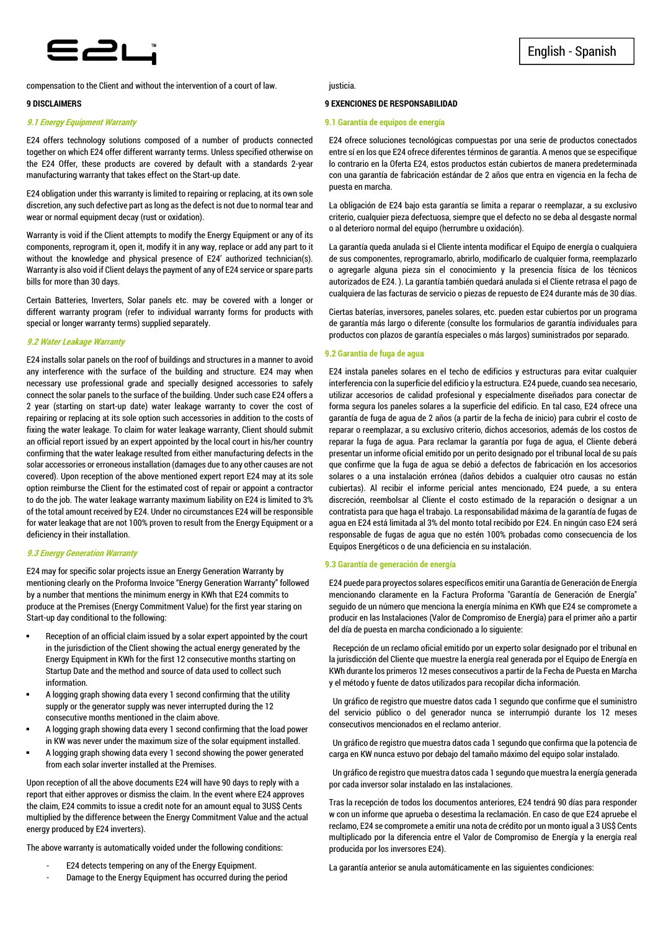

compensation to the Client and without the intervention of a court of law.

#### **9 DISCLAIMERS**

#### **9.1 Energy Equipment Warranty**

E24 offers technology solutions composed of a number of products connected together on which E24 offer different warranty terms. Unless specified otherwise on the E24 Offer, these products are covered by default with a standards 2-year manufacturing warranty that takes effect on the Start-up date.

E24 obligation under this warranty is limited to repairing or replacing, at its own sole discretion, any such defective part as long as the defect is not due to normal tear and wear or normal equipment decay (rust or oxidation).

Warranty is void if the Client attempts to modify the Energy Equipment or any of its components, reprogram it, open it, modify it in any way, replace or add any part to it without the knowledge and physical presence of E24' authorized technician(s). Warranty is also void if Client delays the payment of any of E24 service or spare parts bills for more than 30 days.

Certain Batteries, Inverters, Solar panels etc. may be covered with a longer or different warranty program (refer to individual warranty forms for products with special or longer warranty terms) supplied separately.

#### **9.2 Water Leakage Warranty**

E24 installs solar panels on the roof of buildings and structures in a manner to avoid any interference with the surface of the building and structure. E24 may when necessary use professional grade and specially designed accessories to safely connect the solar panels to the surface of the building. Under such case E24 offers a 2 year (starting on start-up date) water leakage warranty to cover the cost of repairing or replacing at its sole option such accessories in addition to the costs of fixing the water leakage. To claim for water leakage warranty, Client should submit an official report issued by an expert appointed by the local court in his/her country confirming that the water leakage resulted from either manufacturing defects in the solar accessories or erroneous installation (damages due to any other causes are not covered). Upon reception of the above mentioned expert report E24 may at its sole option reimburse the Client for the estimated cost of repair or appoint a contractor to do the job. The water leakage warranty maximum liability on E24 is limited to 3% of the total amount received by E24. Under no circumstances E24 will be responsible for water leakage that are not 100% proven to result from the Energy Equipment or a deficiency in their installation.

#### **9.3 Energy Generation Warranty**

E24 may for specific solar projects issue an Energy Generation Warranty by mentioning clearly on the Proforma Invoice "Energy Generation Warranty" followed by a number that mentions the minimum energy in KWh that E24 commits to produce at the Premises (Energy Commitment Value) for the first year staring on Start-up day conditional to the following:

- Reception of an official claim issued by a solar expert appointed by the court in the jurisdiction of the Client showing the actual energy generated by the Energy Equipment in KWh for the first 12 consecutive months starting on Startup Date and the method and source of data used to collect such information.
- A logging graph showing data every 1 second confirming that the utility supply or the generator supply was never interrupted during the 12 consecutive months mentioned in the claim above.
- A logging graph showing data every 1 second confirming that the load power in KW was never under the maximum size of the solar equipment installed.
- A logging graph showing data every 1 second showing the power generated from each solar inverter installed at the Premises.

Upon reception of all the above documents E24 will have 90 days to reply with a report that either approves or dismiss the claim. In the event where E24 approves the claim, E24 commits to issue a credit note for an amount equal to 3US\$ Cents multiplied by the difference between the Energy Commitment Value and the actual energy produced by E24 inverters).

The above warranty is automatically voided under the following conditions:

- E24 detects tempering on any of the Energy Equipment.
- Damage to the Energy Equipment has occurred during the period

#### justicia.

#### **9 EXENCIONES DE RESPONSABILIDAD**

#### **9.1 Garantía de equipos de energía**

E24 ofrece soluciones tecnológicas compuestas por una serie de productos conectados entre sí en los que E24 ofrece diferentes términos de garantía. A menos que se especifique lo contrario en la Oferta E24, estos productos están cubiertos de manera predeterminada con una garantía de fabricación estándar de 2 años que entra en vigencia en la fecha de puesta en marcha.

La obligación de E24 bajo esta garantía se limita a reparar o reemplazar, a su exclusivo criterio, cualquier pieza defectuosa, siempre que el defecto no se deba al desgaste normal o al deterioro normal del equipo (herrumbre u oxidación).

La garantía queda anulada si el Cliente intenta modificar el Equipo de energía o cualquiera de sus componentes, reprogramarlo, abrirlo, modificarlo de cualquier forma, reemplazarlo o agregarle alguna pieza sin el conocimiento y la presencia física de los técnicos autorizados de E24. ). La garantía también quedará anulada si el Cliente retrasa el pago de cualquiera de las facturas de servicio o piezas de repuesto de E24 durante más de 30 días.

Ciertas baterías, inversores, paneles solares, etc. pueden estar cubiertos por un programa de garantía más largo o diferente (consulte los formularios de garantía individuales para productos con plazos de garantía especiales o más largos) suministrados por separado.

#### **9.2 Garantía de fuga de agua**

E24 instala paneles solares en el techo de edificios y estructuras para evitar cualquier interferencia con la superficie del edificio y la estructura. E24 puede, cuando sea necesario, utilizar accesorios de calidad profesional y especialmente diseñados para conectar de forma segura los paneles solares a la superficie del edificio. En tal caso, E24 ofrece una garantía de fuga de agua de 2 años (a partir de la fecha de inicio) para cubrir el costo de reparar o reemplazar, a su exclusivo criterio, dichos accesorios, además de los costos de reparar la fuga de agua. Para reclamar la garantía por fuga de agua, el Cliente deberá presentar un informe oficial emitido por un perito designado por el tribunal local de su país que confirme que la fuga de agua se debió a defectos de fabricación en los accesorios solares o a una instalación errónea (daños debidos a cualquier otro causas no están cubiertas). Al recibir el informe pericial antes mencionado, E24 puede, a su entera discreción, reembolsar al Cliente el costo estimado de la reparación o designar a un contratista para que haga el trabajo. La responsabilidad máxima de la garantía de fugas de agua en E24 está limitada al 3% del monto total recibido por E24. En ningún caso E24 será responsable de fugas de agua que no estén 100% probadas como consecuencia de los Equipos Energéticos o de una deficiencia en su instalación.

#### **9.3 Garantía de generación de energía**

E24 puede para proyectos solares específicos emitir una Garantía de Generación de Energía mencionando claramente en la Factura Proforma "Garantía de Generación de Energía" seguido de un número que menciona la energía mínima en KWh que E24 se compromete a producir en las Instalaciones (Valor de Compromiso de Energía) para el primer año a partir del día de puesta en marcha condicionado a lo siguiente:

 Recepción de un reclamo oficial emitido por un experto solar designado por el tribunal en la jurisdicción del Cliente que muestre la energía real generada por el Equipo de Energía en KWh durante los primeros 12 meses consecutivos a partir de la Fecha de Puesta en Marcha y el método y fuente de datos utilizados para recopilar dicha información.

 Un gráfico de registro que muestre datos cada 1 segundo que confirme que el suministro del servicio público o del generador nunca se interrumpió durante los 12 meses consecutivos mencionados en el reclamo anterior.

 Un gráfico de registro que muestra datos cada 1 segundo que confirma que la potencia de carga en KW nunca estuvo por debajo del tamaño máximo del equipo solar instalado.

 Un gráfico de registro que muestra datos cada 1 segundo que muestra la energía generada por cada inversor solar instalado en las instalaciones.

Tras la recepción de todos los documentos anteriores, E24 tendrá 90 días para responder w con un informe que aprueba o desestima la reclamación. En caso de que E24 apruebe el reclamo, E24 se compromete a emitir una nota de crédito por un monto igual a 3 US\$ Cents multiplicado por la diferencia entre el Valor de Compromiso de Energía y la energía real producida por los inversores E24).

La garantía anterior se anula automáticamente en las siguientes condiciones: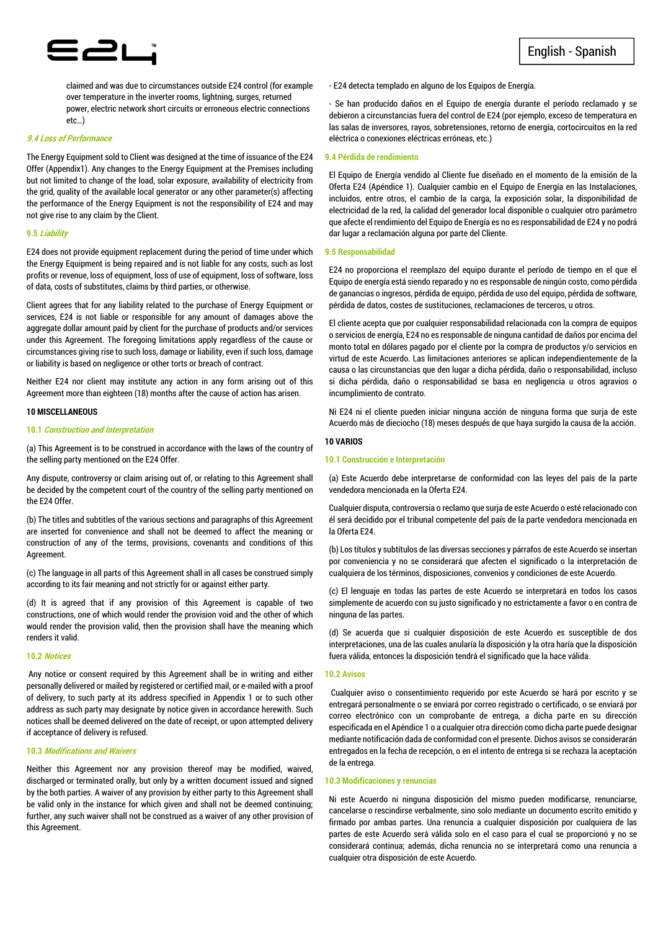claimed and was due to circumstances outside E24 control (for example over temperature in the inverter rooms, lightning, surges, returned power, electric network short circuits or erroneous electric connections etc…)

#### **9.4 Loss of Performance**

3, 21

The Energy Equipment sold to Client was designed at the time of issuance of the E24 Offer (Appendix1). Any changes to the Energy Equipment at the Premises including but not limited to change of the load, solar exposure, availability of electricity from the grid, quality of the available local generator or any other parameter(s) affecting the performance of the Energy Equipment is not the responsibility of E24 and may not give rise to any claim by the Client.

#### **9.5 Liability**

E24 does not provide equipment replacement during the period of time under which the Energy Equipment is being repaired and is not liable for any costs, such as lost profits or revenue, loss of equipment, loss of use of equipment, loss of software, loss of data, costs of substitutes, claims by third parties, or otherwise.

Client agrees that for any liability related to the purchase of Energy Equipment or services, E24 is not liable or responsible for any amount of damages above the aggregate dollar amount paid by client for the purchase of products and/or services under this Agreement. The foregoing limitations apply regardless of the cause or circumstances giving rise to such loss, damage or liability, even if such loss, damage or liability is based on negligence or other torts or breach of contract.

Neither E24 nor client may institute any action in any form arising out of this Agreement more than eighteen (18) months after the cause of action has arisen.

#### **10 MISCELLANEOUS**

#### **10.1 Construction and Interpretation**

(a) This Agreement is to be construed in accordance with the laws of the country of the selling party mentioned on the E24 Offer.

Any dispute, controversy or claim arising out of, or relating to this Agreement shall be decided by the competent court of the country of the selling party mentioned on the E24 Offer.

(b) The titles and subtitles of the various sections and paragraphs of this Agreement are inserted for convenience and shall not be deemed to affect the meaning or construction of any of the terms, provisions, covenants and conditions of this Agreement.

(c) The language in all parts of this Agreement shall in all cases be construed simply according to its fair meaning and not strictly for or against either party.

(d) It is agreed that if any provision of this Agreement is capable of two constructions, one of which would render the provision void and the other of which would render the provision valid, then the provision shall have the meaning which renders it valid.

#### **10.2 Notices**

 Any notice or consent required by this Agreement shall be in writing and either personally delivered or mailed by registered or certified mail, or e-mailed with a proof of delivery, to such party at its address specified in Appendix 1 or to such other address as such party may designate by notice given in accordance herewith. Such notices shall be deemed delivered on the date of receipt, or upon attempted delivery if acceptance of delivery is refused.

#### **10.3 Modifications and Waivers**

Neither this Agreement nor any provision thereof may be modified, waived, discharged or terminated orally, but only by a written document issued and signed by the both parties. A waiver of any provision by either party to this Agreement shall be valid only in the instance for which given and shall not be deemed continuing; further, any such waiver shall not be construed as a waiver of any other provision of this Agreement.

- E24 detecta templado en alguno de los Equipos de Energía.

- Se han producido daños en el Equipo de energía durante el período reclamado y se debieron a circunstancias fuera del control de E24 (por ejemplo, exceso de temperatura en las salas de inversores, rayos, sobretensiones, retorno de energía, cortocircuitos en la red eléctrica o conexiones eléctricas erróneas, etc.)

#### **9.4 Pérdida de rendimiento**

El Equipo de Energía vendido al Cliente fue diseñado en el momento de la emisión de la Oferta E24 (Apéndice 1). Cualquier cambio en el Equipo de Energía en las Instalaciones, incluidos, entre otros, el cambio de la carga, la exposición solar, la disponibilidad de electricidad de la red, la calidad del generador local disponible o cualquier otro parámetro que afecte el rendimiento del Equipo de Energía es no es responsabilidad de E24 y no podrá dar lugar a reclamación alguna por parte del Cliente.

#### **9.5 Responsabilidad**

E24 no proporciona el reemplazo del equipo durante el período de tiempo en el que el Equipo de energía está siendo reparado y no es responsable de ningún costo, como pérdida de ganancias o ingresos, pérdida de equipo, pérdida de uso del equipo, pérdida de software, pérdida de datos, costes de sustituciones, reclamaciones de terceros, u otros.

El cliente acepta que por cualquier responsabilidad relacionada con la compra de equipos o servicios de energía, E24 no es responsable de ninguna cantidad de daños por encima del monto total en dólares pagado por el cliente por la compra de productos y/o servicios en virtud de este Acuerdo. Las limitaciones anteriores se aplican independientemente de la causa o las circunstancias que den lugar a dicha pérdida, daño o responsabilidad, incluso si dicha pérdida, daño o responsabilidad se basa en negligencia u otros agravios o incumplimiento de contrato.

Ni E24 ni el cliente pueden iniciar ninguna acción de ninguna forma que surja de este Acuerdo más de dieciocho (18) meses después de que haya surgido la causa de la acción.

#### **10 VARIOS**

#### **10.1 Construcción e Interpretación**

(a) Este Acuerdo debe interpretarse de conformidad con las leyes del país de la parte vendedora mencionada en la Oferta E24.

Cualquier disputa, controversia o reclamo que surja de este Acuerdo o esté relacionado con él será decidido por el tribunal competente del país de la parte vendedora mencionada en la Oferta E24.

(b) Los títulos y subtítulos de las diversas secciones y párrafos de este Acuerdo se insertan por conveniencia y no se considerará que afecten el significado o la interpretación de cualquiera de los términos, disposiciones, convenios y condiciones de este Acuerdo.

(c) El lenguaje en todas las partes de este Acuerdo se interpretará en todos los casos simplemente de acuerdo con su justo significado y no estrictamente a favor o en contra de ninguna de las partes.

(d) Se acuerda que si cualquier disposición de este Acuerdo es susceptible de dos interpretaciones, una de las cuales anularía la disposición y la otra haría que la disposición fuera válida, entonces la disposición tendrá el significado que la hace válida.

#### **10.2 Avisos**

 Cualquier aviso o consentimiento requerido por este Acuerdo se hará por escrito y se entregará personalmente o se enviará por correo registrado o certificado, o se enviará por correo electrónico con un comprobante de entrega, a dicha parte en su dirección especificada en el Apéndice 1 o a cualquier otra dirección como dicha parte puede designar mediante notificación dada de conformidad con el presente. Dichos avisos se considerarán entregados en la fecha de recepción, o en el intento de entrega si se rechaza la aceptación de la entrega.

#### **10.3 Modificaciones y renuncias**

Ni este Acuerdo ni ninguna disposición del mismo pueden modificarse, renunciarse, cancelarse o rescindirse verbalmente, sino solo mediante un documento escrito emitido y firmado por ambas partes. Una renuncia a cualquier disposición por cualquiera de las partes de este Acuerdo será válida solo en el caso para el cual se proporcionó y no se considerará continua; además, dicha renuncia no se interpretará como una renuncia a cualquier otra disposición de este Acuerdo.